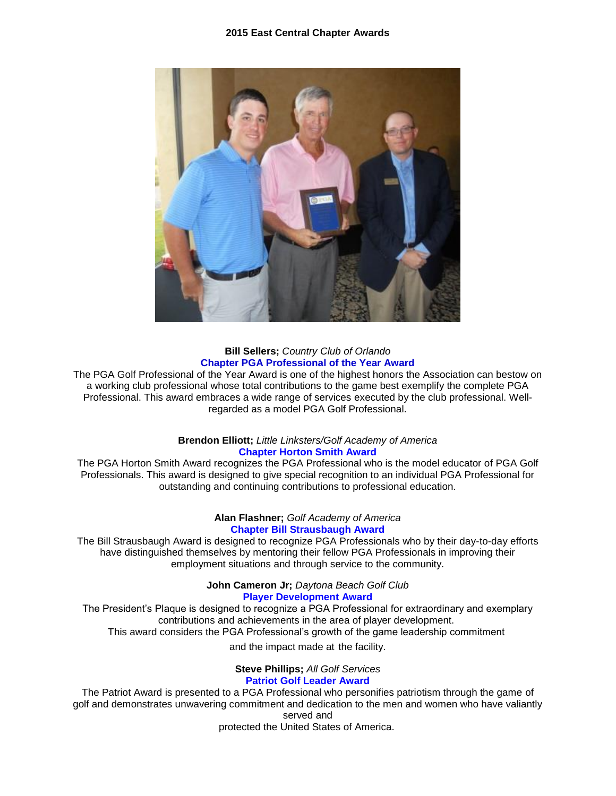

## **Bill Sellers;** *Country Club of Orlando* **Chapter PGA Professional of the Year Award**

The PGA Golf Professional of the Year Award is one of the highest honors the Association can bestow on a working club professional whose total contributions to the game best exemplify the complete PGA Professional. This award embraces a wide range of services executed by the club professional. Wellregarded as a model PGA Golf Professional.

### **Brendon Elliott;** *Little Linksters/Golf Academy of America* **Chapter Horton Smith Award**

The PGA Horton Smith Award recognizes the PGA Professional who is the model educator of PGA Golf Professionals. This award is designed to give special recognition to an individual PGA Professional for outstanding and continuing contributions to professional education.

### **Alan Flashner;** *Golf Academy of America* **Chapter Bill Strausbaugh Award**

The Bill Strausbaugh Award is designed to recognize PGA Professionals who by their day-to-day efforts have distinguished themselves by mentoring their fellow PGA Professionals in improving their employment situations and through service to the community.

> **John Cameron Jr;** *Daytona Beach Golf Club* **Player Development Award**

The President's Plaque is designed to recognize a PGA Professional for extraordinary and exemplary contributions and achievements in the area of player development. This award considers the PGA Professional's growth of the game leadership commitment

and the impact made at the facility.

# **Steve Phillips;** *All Golf Services*

# **Patriot Golf Leader Award**

The Patriot Award is presented to a PGA Professional who personifies patriotism through the game of golf and demonstrates unwavering commitment and dedication to the men and women who have valiantly served and

protected the United States of America.